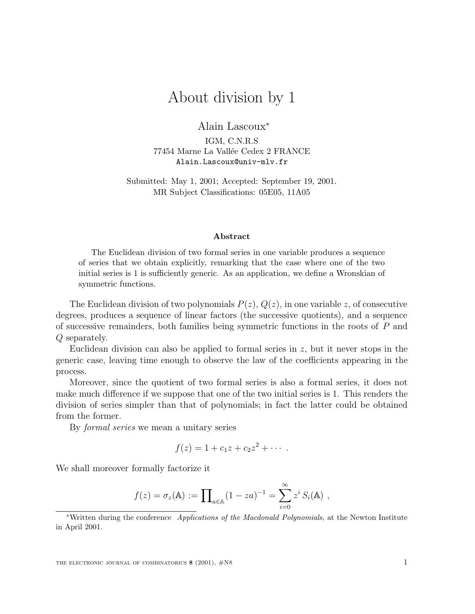## About division by 1

Alain Lascoux<sup>∗</sup>

IGM, C.N.R.S 77454 Marne La Vallée Cedex 2 FRANCE Alain.Lascoux@univ-mlv.fr

Submitted: May 1, 2001; Accepted: September 19, 2001. MR Subject Classifications: 05E05, 11A05

## **Abstract**

The Euclidean division of two formal series in one variable produces a sequence of series that we obtain explicitly, remarking that the case where one of the two initial series is 1 is sufficiently generic. As an application, we define a Wronskian of symmetric functions.

The Euclidean division of two polynomials  $P(z)$ ,  $Q(z)$ , in one variable z, of consecutive degrees, produces a sequence of linear factors (the successive quotients), and a sequence of successive remainders, both families being symmetric functions in the roots of P and Q separately.

Euclidean division can also be applied to formal series in  $z$ , but it never stops in the generic case, leaving time enough to observe the law of the coefficients appearing in the process.

Moreover, since the quotient of two formal series is also a formal series, it does not make much difference if we suppose that one of the two initial series is 1. This renders the division of series simpler than that of polynomials; in fact the latter could be obtained from the former.

By formal series we mean a unitary series

$$
f(z) = 1 + c_1 z + c_2 z^2 + \cdots
$$

We shall moreover formally factorize it

$$
f(z) = \sigma_z(\mathbb{A}) := \prod_{a \in \mathbb{A}} (1 - za)^{-1} = \sum_{i=0}^{\infty} z^i S_i(\mathbb{A}),
$$

<sup>∗</sup>Written during the conference *Applications of the Macdonald Polynomials*, at the Newton Institute in April 2001.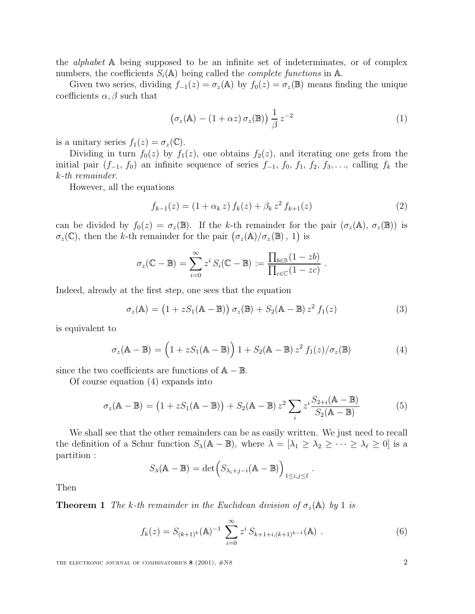the alphabet A being supposed to be an infinite set of indeterminates, or of complex numbers, the coefficients  $S_i(\mathbb{A})$  being called the *complete functions* in  $\mathbb{A}$ .

Given two series, dividing  $f_{-1}(z) = \sigma_z(\mathbb{A})$  by  $f_0(z) = \sigma_z(\mathbb{B})$  means finding the unique coefficients  $\alpha$ ,  $\beta$  such that

$$
\left(\sigma_z(\mathbb{A}) - (1 + \alpha z)\sigma_z(\mathbb{B})\right) \frac{1}{\beta} z^{-2} \tag{1}
$$

is a unitary series  $f_1(z) = \sigma_z(\mathbb{C})$ .

Dividing in turn  $f_0(z)$  by  $f_1(z)$ , one obtains  $f_2(z)$ , and iterating one gets from the initial pair  $(f_{-1}, f_0)$  an infinite sequence of series  $f_{-1}, f_0, f_1, f_2, f_3, \ldots$ , calling  $f_k$  the k-th remainder.

However, all the equations

$$
f_{k-1}(z) = (1 + \alpha_k z) f_k(z) + \beta_k z^2 f_{k+1}(z)
$$
\n(2)

can be divided by  $f_0(z) = \sigma_z(\mathbb{B})$ . If the k-th remainder for the pair  $(\sigma_z(\mathbb{A}), \sigma_z(\mathbb{B}))$  is  $\sigma_z(\mathbb{C})$ , then the k-th remainder for the pair  $(\sigma_z(\mathbb{A})/\sigma_z(\mathbb{B}), 1)$  is

$$
\sigma_z(\mathbb{C} - \mathbb{B}) = \sum_{i=0}^{\infty} z^i S_i(\mathbb{C} - \mathbb{B}) := \frac{\prod_{b \in \mathbb{B}} (1 - zb)}{\prod_{c \in \mathbb{C}} (1 - zc)}.
$$

Indeed, already at the first step, one sees that the equation

$$
\sigma_z(\mathbb{A}) = (1 + zS_1(\mathbb{A} - \mathbb{B})) \sigma_z(\mathbb{B}) + S_2(\mathbb{A} - \mathbb{B}) z^2 f_1(z)
$$
\n(3)

is equivalent to

$$
\sigma_z(\mathbb{A} - \mathbb{B}) = \left(1 + zS_1(\mathbb{A} - \mathbb{B})\right)1 + S_2(\mathbb{A} - \mathbb{B})z^2 f_1(z)/\sigma_z(\mathbb{B})
$$
\n(4)

since the two coefficients are functions of  $A - B$ .

Of course equation (4) expands into

$$
\sigma_z(\mathbb{A} - \mathbb{B}) = (1 + zS_1(\mathbb{A} - \mathbb{B})) + S_2(\mathbb{A} - \mathbb{B}) z^2 \sum_i z^i \frac{S_{2+i}(\mathbb{A} - \mathbb{B})}{S_2(\mathbb{A} - \mathbb{B})}
$$
(5)

We shall see that the other remainders can be as easily written. We just need to recall the definition of a Schur function  $S_{\lambda}(\mathbb{A}-\mathbb{B})$ , where  $\lambda = [\lambda_1 \geq \lambda_2 \geq \cdots \geq \lambda_\ell \geq 0]$  is a partition :

$$
S_{\lambda}(\mathbb{A}-\mathbb{B})=\det(S_{\lambda_i+j-i}(\mathbb{A}-\mathbb{B}))_{1\leq i,j\leq \ell}.
$$

Then

**Theorem 1** The k-th remainder in the Euclidean division of  $\sigma_z(A)$  by 1 is

$$
f_k(z) = S_{(k+1)^k}(\mathbf{A})^{-1} \sum_{i=0}^{\infty} z^i S_{k+1+i,(k+1)^{k-1}}(\mathbf{A}) . \tag{6}
$$

THE ELECTRONIC JOURNAL OF COMBINATORICS **8** (2001),  $\#$ N8 2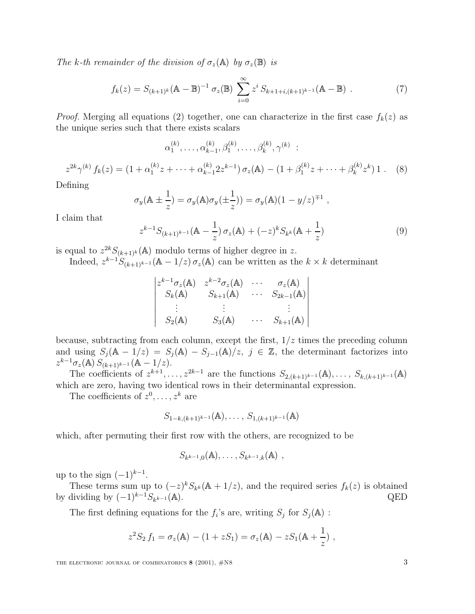The k-th remainder of the division of  $\sigma_z(\mathbb{A})$  by  $\sigma_z(\mathbb{B})$  is

$$
f_k(z) = S_{(k+1)^k}(\mathbb{A} - \mathbb{B})^{-1} \sigma_z(\mathbb{B}) \sum_{i=0}^{\infty} z^i S_{k+1+i,(k+1)^{k-1}}(\mathbb{A} - \mathbb{B}) . \tag{7}
$$

*Proof.* Merging all equations (2) together, one can characterize in the first case  $f_k(z)$  as the unique series such that there exists scalars

$$
\alpha_1^{(k)}, \ldots, \alpha_{k-1}^{(k)}, \beta_1^{(k)}, \ldots, \beta_k^{(k)}, \gamma^{(k)} \; : \;
$$

$$
z^{2k}\gamma^{(k)} f_k(z) = (1 + \alpha_1^{(k)} z + \dots + \alpha_{k-1}^{(k)} 2z^{k-1}) \sigma_z(\mathbb{A}) - (1 + \beta_1^{(k)} z + \dots + \beta_k^{(k)} z^k) 1. \tag{8}
$$

Defining

$$
\sigma_y(\mathbb{A} \pm \frac{1}{z}) = \sigma_y(\mathbb{A})\sigma_y(\pm \frac{1}{z})) = \sigma_y(\mathbb{A})(1 - y/z)^{\mp 1},
$$

I claim that

$$
z^{k-1}S_{(k+1)^{k-1}}(\mathbb{A} - \frac{1}{z})\sigma_z(\mathbb{A}) + (-z)^k S_{k^k}(\mathbb{A} + \frac{1}{z})
$$
\n(9)

is equal to  $z^{2k}S_{(k+1)^k}(\mathbb{A})$  modulo terms of higher degree in z. Indeed,  $z^{k-1}S_{(k+1)^{k-1}}(\mathbb{A}-1/z)\sigma_z(\mathbb{A})$  can be written as the  $k \times k$  determinant

$$
\begin{vmatrix} z^{k-1}\sigma_z(\mathbb{A}) & z^{k-2}\sigma_z(\mathbb{A}) & \cdots & \sigma_z(\mathbb{A}) \\ S_k(\mathbb{A}) & S_{k+1}(\mathbb{A}) & \cdots & S_{2k-1}(\mathbb{A}) \\ \vdots & \vdots & & \vdots \\ S_2(\mathbb{A}) & S_3(\mathbb{A}) & \cdots & S_{k+1}(\mathbb{A}) \end{vmatrix}
$$

because, subtracting from each column, except the first,  $1/z$  times the preceding column and using  $S_j(\mathbb{A} - 1/z) = S_j(\mathbb{A}) - S_{j-1}(\mathbb{A})/z, \ j \in \mathbb{Z}$ , the determinant factorizes into  $z^{k-1}\sigma_z(\mathbb{A}) S_{(k+1)^{k-1}}(\mathbb{A} - 1/z).$ 

The coefficients of  $z^{k+1},\ldots,z^{2k-1}$  are the functions  $S_{2,(k+1)^{k-1}}(\mathbb{A}),\ldots,S_{k,(k+1)^{k-1}}(\mathbb{A})$ which are zero, having two identical rows in their determinantal expression.

The coefficients of  $z^0, \ldots, z^k$  are

$$
S_{1-k,(k+1)^{k-1}}(\mathbb{A}),\ldots,S_{1,(k+1)^{k-1}}(\mathbb{A})
$$

which, after permuting their first row with the others, are recognized to be

$$
S_{k^{k-1},0}(\mathbb{A}), \ldots, S_{k^{k-1},k}(\mathbb{A}),
$$

up to the sign  $(-1)^{k-1}$ .

These terms sum up to  $(-z)^k S_{k^k}(\mathbb{A} + 1/z)$ , and the required series  $f_k(z)$  is obtained by dividing by  $(-1)^{k-1}S_{k^{k-1}}(A)$ . QED

The first defining equations for the  $f_i$ 's are, writing  $S_j$  for  $S_j(\mathbb{A})$ :

$$
z^2 S_2 f_1 = \sigma_z(\mathbb{A}) - (1 + z S_1) = \sigma_z(\mathbb{A}) - z S_1(\mathbb{A} + \frac{1}{z}) ,
$$

THE ELECTRONIC JOURNAL OF COMBINATORICS **8** (2001),  $\#$ N8 3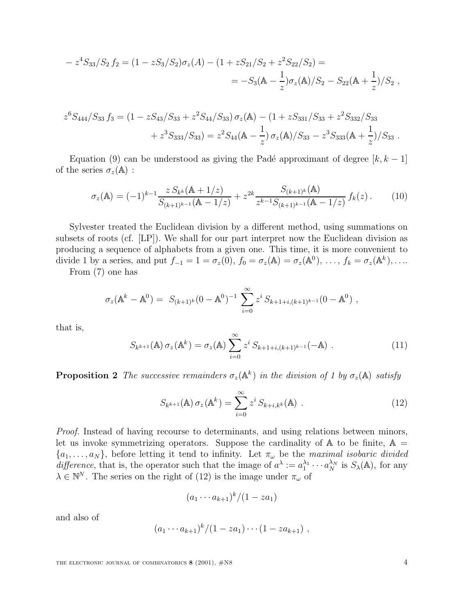$$
- z4S33/S2 f2 = (1 - zS3/S2)\sigmaz(A) - (1 + zS21/S2 + z2S22/S2) =
$$
  
= -S<sub>3</sub>(A -  $\frac{1}{z}$ ) $\sigmaz$ (A)/S<sub>2</sub> - S<sub>22</sub>(A +  $\frac{1}{z}$ )/S<sub>2</sub>,

$$
z^{6}S_{444}/S_{33} f_3 = (1 - zS_{43}/S_{33} + z^{2}S_{44}/S_{33}) \sigma_{z}(\mathbb{A}) - (1 + zS_{331}/S_{33} + z^{2}S_{332}/S_{33} + z^{3}S_{333}/S_{33}) = z^{2}S_{44}(\mathbb{A} - \frac{1}{z}) \sigma_{z}(\mathbb{A})/S_{33} - z^{3}S_{333}(\mathbb{A} + \frac{1}{z})/S_{33}.
$$

Equation (9) can be understood as giving the Padé approximant of degree  $[k, k-1]$ of the series  $\sigma_z(\mathbb{A})$ :

$$
\sigma_z(\mathbb{A}) = (-1)^{k-1} \frac{z \, S_{k^k}(\mathbb{A} + 1/z)}{S_{(k+1)^{k-1}}(\mathbb{A} - 1/z)} + z^{2k} \frac{S_{(k+1)^k}(\mathbb{A})}{z^{k-1} S_{(k+1)^{k-1}}(\mathbb{A} - 1/z)} f_k(z).
$$
 (10)

Sylvester treated the Euclidean division by a different method, using summations on subsets of roots (cf. [LP]). We shall for our part interpret now the Euclidean division as producing a sequence of alphabets from a given one. This time, it is more convenient to divide 1 by a series, and put  $f_{-1} = 1 = \sigma_z(0)$ ,  $f_0 = \sigma_z(\mathbb{A}) = \sigma_z(\mathbb{A}^0)$ , ...,  $f_k = \sigma_z(\mathbb{A}^k)$ , ...

From (7) one has

$$
\sigma_z(\mathbb{A}^k - \mathbb{A}^0) = S_{(k+1)^k}(0 - \mathbb{A}^0)^{-1} \sum_{i=0}^{\infty} z^i S_{k+1+i,(k+1)^{k-1}}(0 - \mathbb{A}^0) ,
$$

that is,

$$
S_{k^{k+1}}(\mathbb{A}) \sigma_z(\mathbb{A}^k) = \sigma_z(\mathbb{A}) \sum_{i=0}^{\infty} z^i S_{k+1+i,(k+1)^{k-1}}(-\mathbb{A}) . \qquad (11)
$$

**Proposition 2** The successive remainders  $\sigma_z(\mathbb{A}^k)$  in the division of 1 by  $\sigma_z(\mathbb{A})$  satisfy

$$
S_{k^{k+1}}(\mathbf{A}) \sigma_z(\mathbf{A}^k) = \sum_{i=0}^{\infty} z^i S_{k+i,k^k}(\mathbf{A}) . \qquad (12)
$$

Proof. Instead of having recourse to determinants, and using relations between minors, let us invoke symmetrizing operators. Suppose the cardinality of  $A$  to be finite,  $A =$  $\{a_1,\ldots,a_N\}$ , before letting it tend to infinity. Let  $\pi_{\omega}$  be the maximal isobaric divided difference, that is, the operator such that the image of  $a^{\lambda} := a_1^{\lambda_1} \cdots a_N^{\lambda_N}$  is  $S_{\lambda}(\mathbb{A})$ , for any  $\lambda \in \mathbb{N}^N$ . The series on the right of (12) is the image under  $\pi_\omega$  of

$$
(a_1\cdots a_{k+1})^k/(1-za_1)
$$

and also of

$$
(a_1\cdots a_{k+1})^k/(1 - z a_1)\cdots (1 - z a_{k+1}),
$$

THE ELECTRONIC JOURNAL OF COMBINATORICS **8** (2001),  $\#$ N8 4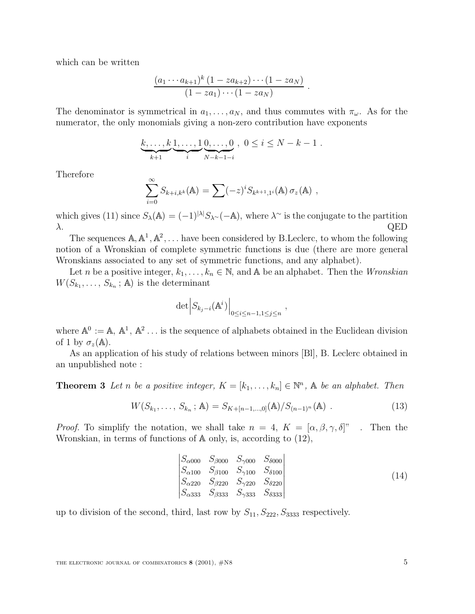which can be written

$$
\frac{(a_1\cdots a_{k+1})^k (1 - za_{k+2}) \cdots (1 - za_N)}{(1 - za_1) \cdots (1 - za_N)}.
$$

The denominator is symmetrical in  $a_1, \ldots, a_N$ , and thus commutes with  $\pi_{\omega}$ . As for the numerator, the only monomials giving a non-zero contribution have exponents

$$
\underbrace{k, \ldots, k}_{k+1} \underbrace{1, \ldots, 1}_{i} \underbrace{0, \ldots, 0}_{N-k-1-i}, \quad 0 \le i \le N-k-1.
$$

Therefore

$$
\sum_{i=0}^{\infty} S_{k+i,k^k}(\mathbb{A}) = \sum (-z)^i S_{k^{k+1},1^i}(\mathbb{A}) \sigma_z(\mathbb{A}),
$$

which gives (11) since  $S_{\lambda}(\mathbb{A}) = (-1)^{|\lambda|} S_{\lambda}(-\mathbb{A})$ , where  $\lambda^{\sim}$  is the conjugate to the partition  $\lambda$ . QED

The sequences  $\mathbb{A}, \mathbb{A}^1, \mathbb{A}^2, \ldots$  have been considered by B.Leclerc, to whom the following notion of a Wronskian of complete symmetric functions is due (there are more general Wronskians associated to any set of symmetric functions, and any alphabet).

Let n be a positive integer,  $k_1, \ldots, k_n \in \mathbb{N}$ , and A be an alphabet. Then the *Wronskian*  $W(S_{k_1},\ldots,S_{k_n};\mathbb{A})$  is the determinant

$$
\det \Bigl|S_{k_j - i}({\mathbb A}^i)\Bigr|_{0 \le i \le n-1, 1 \le j \le n}
$$

where  $\mathbb{A}^0 := \mathbb{A}, \ \mathbb{A}^1, \ \mathbb{A}^2 \dots$  is the sequence of alphabets obtained in the Euclidean division of 1 by  $\sigma_z(\mathbb{A})$ .

As an application of his study of relations between minors [Bl], B. Leclerc obtained in an unpublished note :

**Theorem 3** Let n be a positive integer,  $K = [k_1, \ldots, k_n] \in \mathbb{N}^n$ , A be an alphabet. Then

$$
W(S_{k_1},\ldots,S_{k_n};\mathbb{A})=S_{K+[n-1,\ldots,0]}(\mathbb{A})/S_{(n-1)^n}(\mathbb{A})\ .
$$
 (13)

,

*Proof.* To simplify the notation, we shall take  $n = 4$ ,  $K = [\alpha, \beta, \gamma, \delta]^n$ . Then the Wronskian, in terms of functions of <sup>A</sup> only, is, according to (12),

$$
\begin{vmatrix}\nS_{\alpha 000} & S_{\beta 000} & S_{\gamma 000} & S_{\delta 000} \\
S_{\alpha 100} & S_{\beta 100} & S_{\gamma 100} & S_{\delta 100} \\
S_{\alpha 220} & S_{\beta 220} & S_{\gamma 220} & S_{\delta 220} \\
S_{\alpha 333} & S_{\beta 333} & S_{\gamma 333} & S_{\delta 333}\n\end{vmatrix}
$$
\n(14)

up to division of the second, third, last row by  $S_{11}, S_{222}, S_{3333}$  respectively.